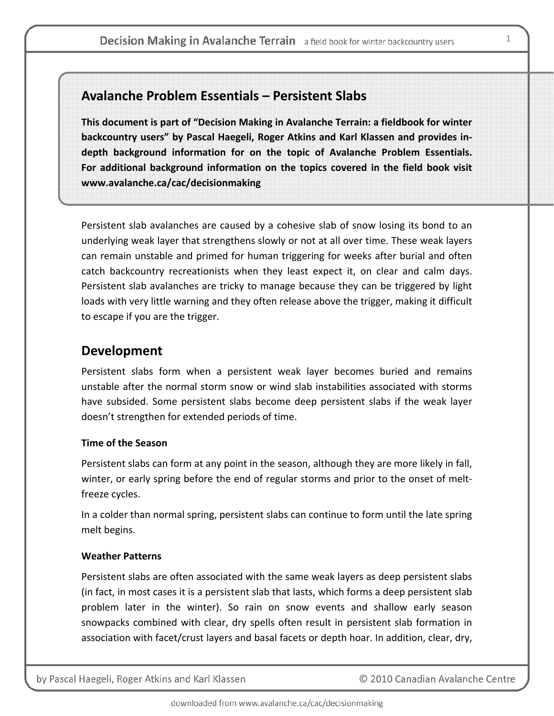# **Avalanche Problem Essentials – Persistent Slabs**

**This document is part of "Decision Making in Avalanche Terrain: a fieldbook for winter backcountry users" by Pascal Haegeli, Roger Atkins and Karl Klassen and provides in‐ depth background information for on the topic of Avalanche Problem Essentials. For additional background information on the topics covered in the field book visit www.avalanche.ca/cac/decisionmaking**

Persistent slab avalanches are caused by a cohesive slab of snow losing its bond to an underlying weak layer that strengthens slowly or not at all over time. These weak layers can remain unstable and primed for human triggering for weeks after burial and often catch backcountry recreationists when they least expect it, on clear and calm days. Persistent slab avalanches are tricky to manage because they can be triggered by light loads with very little warning and they often release above the trigger, making it difficult to escape if you are the trigger.

# **Development**

Persistent slabs form when a persistent weak layer becomes buried and remains unstable after the normal storm snow or wind slab instabilities associated with storms have subsided. Some persistent slabs become deep persistent slabs if the weak layer doesn't strengthen for extended periods of time.

### **Time of the Season**

Persistent slabs can form at any point in the season, although they are more likely in fall, winter, or early spring before the end of regular storms and prior to the onset of melt‐ freeze cycles.

In a colder than normal spring, persistent slabs can continue to form until the late spring melt begins.

### **Weather Patterns**

Persistent slabs are often associated with the same weak layers as deep persistent slabs (in fact, in most cases it is a persistent slab that lasts, which forms a deep persistent slab problem later in the winter). So rain on snow events and shallow early season snowpacks combined with clear, dry spells often result in persistent slab formation in association with facet/crust layers and basal facets or depth hoar. In addition, clear, dry,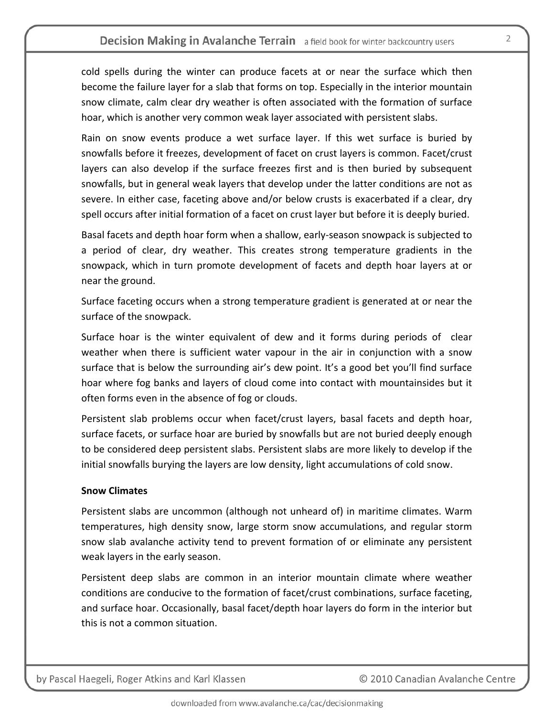cold spells during the winter can produce facets at or near the surface which then become the failure layer for a slab that forms on top. Especially in the interior mountain snow climate, calm clear dry weather is often associated with the formation of surface hoar, which is another very common weak layer associated with persistent slabs.

Rain on snow events produce a wet surface layer. If this wet surface is buried by snowfalls before it freezes, development of facet on crust layers is common. Facet/crust layers can also develop if the surface freezes first and is then buried by subsequent snowfalls, but in general weak layers that develop under the latter conditions are not as severe. In either case, faceting above and/or below crusts is exacerbated if a clear, dry spell occurs after initial formation of a facet on crust layer but before it is deeply buried.

Basal facets and depth hoar form when a shallow, early‐season snowpack is subjected to a period of clear, dry weather. This creates strong temperature gradients in the snowpack, which in turn promote development of facets and depth hoar layers at or near the ground.

Surface faceting occurs when a strong temperature gradient is generated at or near the surface of the snowpack.

Surface hoar is the winter equivalent of dew and it forms during periods of clear weather when there is sufficient water vapour in the air in conjunction with a snow surface that is below the surrounding air's dew point. It's a good bet you'll find surface hoar where fog banks and layers of cloud come into contact with mountainsides but it often forms even in the absence of fog or clouds.

Persistent slab problems occur when facet/crust layers, basal facets and depth hoar, surface facets, or surface hoar are buried by snowfalls but are not buried deeply enough to be considered deep persistent slabs. Persistent slabs are more likely to develop if the initial snowfalls burying the layers are low density, light accumulations of cold snow.

### **Snow Climates**

Persistent slabs are uncommon (although not unheard of) in maritime climates. Warm temperatures, high density snow, large storm snow accumulations, and regular storm snow slab avalanche activity tend to prevent formation of or eliminate any persistent weak layers in the early season.

Persistent deep slabs are common in an interior mountain climate where weather conditions are conducive to the formation of facet/crust combinations, surface faceting, and surface hoar. Occasionally, basal facet/depth hoar layers do form in the interior but this is not a common situation.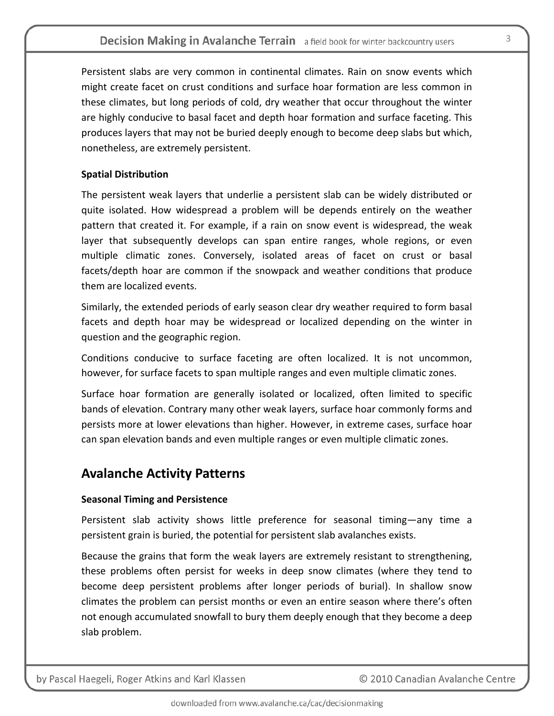Persistent slabs are very common in continental climates. Rain on snow events which might create facet on crust conditions and surface hoar formation are less common in these climates, but long periods of cold, dry weather that occur throughout the winter are highly conducive to basal facet and depth hoar formation and surface faceting. This produces layers that may not be buried deeply enough to become deep slabs but which, nonetheless, are extremely persistent.

### **Spatial Distribution**

The persistent weak layers that underlie a persistent slab can be widely distributed or quite isolated. How widespread a problem will be depends entirely on the weather pattern that created it. For example, if a rain on snow event is widespread, the weak layer that subsequently develops can span entire ranges, whole regions, or even multiple climatic zones. Conversely, isolated areas of facet on crust or basal facets/depth hoar are common if the snowpack and weather conditions that produce them are localized events.

Similarly, the extended periods of early season clear dry weather required to form basal facets and depth hoar may be widespread or localized depending on the winter in question and the geographic region.

Conditions conducive to surface faceting are often localized. It is not uncommon, however, for surface facets to span multiple ranges and even multiple climatic zones.

Surface hoar formation are generally isolated or localized, often limited to specific bands of elevation. Contrary many other weak layers, surface hoar commonly forms and persists more at lower elevations than higher. However, in extreme cases, surface hoar can span elevation bands and even multiple ranges or even multiple climatic zones.

# **Avalanche Activity Patterns**

### **Seasonal Timing and Persistence**

Persistent slab activity shows little preference for seasonal timing—any time a persistent grain is buried, the potential for persistent slab avalanches exists.

Because the grains that form the weak layers are extremely resistant to strengthening, these problems often persist for weeks in deep snow climates (where they tend to become deep persistent problems after longer periods of burial). In shallow snow climates the problem can persist months or even an entire season where there's often not enough accumulated snowfall to bury them deeply enough that they become a deep slab problem.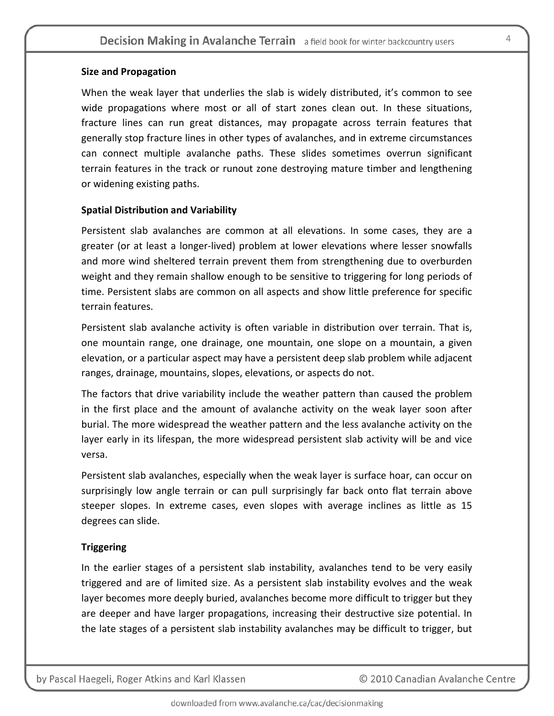#### **Size and Propagation**

When the weak layer that underlies the slab is widely distributed, it's common to see wide propagations where most or all of start zones clean out. In these situations, fracture lines can run great distances, may propagate across terrain features that generally stop fracture lines in other types of avalanches, and in extreme circumstances can connect multiple avalanche paths. These slides sometimes overrun significant terrain features in the track or runout zone destroying mature timber and lengthening or widening existing paths.

#### **Spatial Distribution and Variability**

Persistent slab avalanches are common at all elevations. In some cases, they are a greater (or at least a longer‐lived) problem at lower elevations where lesser snowfalls and more wind sheltered terrain prevent them from strengthening due to overburden weight and they remain shallow enough to be sensitive to triggering for long periods of time. Persistent slabs are common on all aspects and show little preference for specific terrain features.

Persistent slab avalanche activity is often variable in distribution over terrain. That is, one mountain range, one drainage, one mountain, one slope on a mountain, a given elevation, or a particular aspect may have a persistent deep slab problem while adjacent ranges, drainage, mountains, slopes, elevations, or aspects do not.

The factors that drive variability include the weather pattern than caused the problem in the first place and the amount of avalanche activity on the weak layer soon after burial. The more widespread the weather pattern and the less avalanche activity on the layer early in its lifespan, the more widespread persistent slab activity will be and vice versa.

Persistent slab avalanches, especially when the weak layer is surface hoar, can occur on surprisingly low angle terrain or can pull surprisingly far back onto flat terrain above steeper slopes. In extreme cases, even slopes with average inclines as little as 15 degrees can slide.

### **Triggering**

In the earlier stages of a persistent slab instability, avalanches tend to be very easily triggered and are of limited size. As a persistent slab instability evolves and the weak layer becomes more deeply buried, avalanches become more difficult to trigger but they are deeper and have larger propagations, increasing their destructive size potential. In the late stages of a persistent slab instability avalanches may be difficult to trigger, but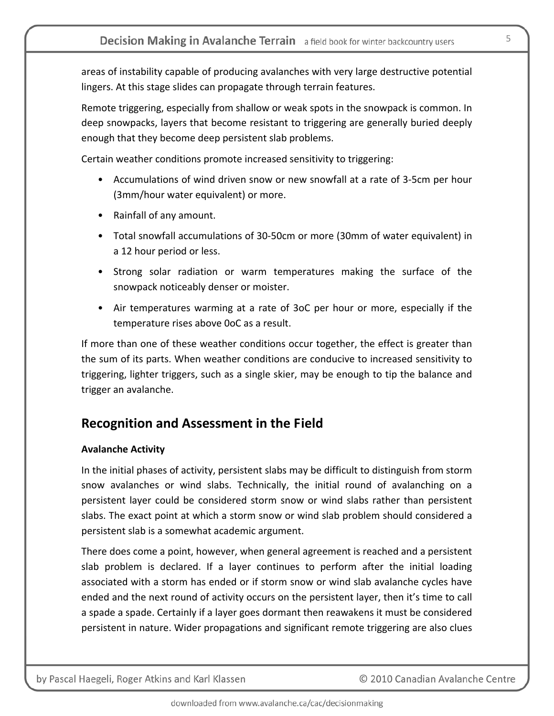areas of instability capable of producing avalanches with very large destructive potential lingers. At this stage slides can propagate through terrain features.

Remote triggering, especially from shallow or weak spots in the snowpack is common. In deep snowpacks, layers that become resistant to triggering are generally buried deeply enough that they become deep persistent slab problems.

Certain weather conditions promote increased sensitivity to triggering:

- Accumulations of wind driven snow or new snowfall at a rate of 3-5cm per hour (3mm/hour water equivalent) or more.
- Rainfall of any amount.
- Total snowfall accumulations of 30‐50cm or more (30mm of water equivalent) in a 12 hour period or less.
- Strong solar radiation or warm temperatures making the surface of the snowpack noticeably denser or moister.
- Air temperatures warming at a rate of 3oC per hour or more, especially if the temperature rises above 0oC as a result.

If more than one of these weather conditions occur together, the effect is greater than the sum of its parts. When weather conditions are conducive to increased sensitivity to triggering, lighter triggers, such as a single skier, may be enough to tip the balance and trigger an avalanche.

# **Recognition and Assessment in the Field**

### **Avalanche Activity**

In the initial phases of activity, persistent slabs may be difficult to distinguish from storm snow avalanches or wind slabs. Technically, the initial round of avalanching on a persistent layer could be considered storm snow or wind slabs rather than persistent slabs. The exact point at which a storm snow or wind slab problem should considered a persistent slab is a somewhat academic argument.

There does come a point, however, when general agreement is reached and a persistent slab problem is declared. If a layer continues to perform after the initial loading associated with a storm has ended or if storm snow or wind slab avalanche cycles have ended and the next round of activity occurs on the persistent layer, then it's time to call a spade a spade. Certainly if a layer goes dormant then reawakens it must be considered persistent in nature. Wider propagations and significant remote triggering are also clues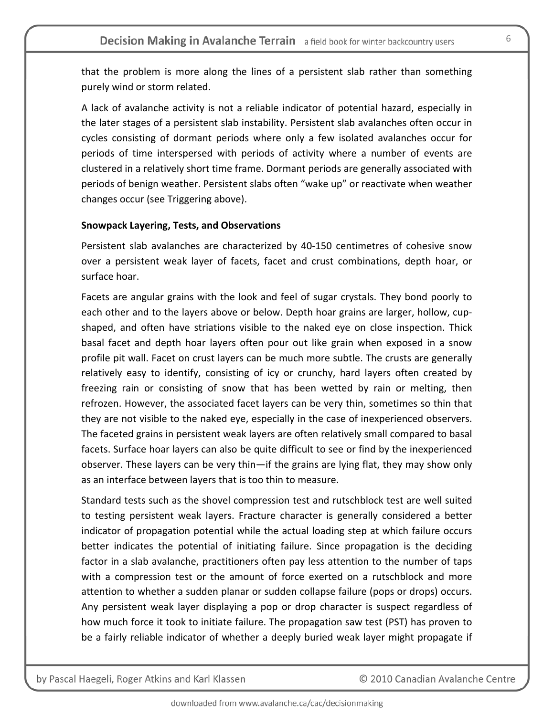that the problem is more along the lines of a persistent slab rather than something purely wind or storm related.

A lack of avalanche activity is not a reliable indicator of potential hazard, especially in the later stages of a persistent slab instability. Persistent slab avalanches often occur in cycles consisting of dormant periods where only a few isolated avalanches occur for periods of time interspersed with periods of activity where a number of events are clustered in a relatively short time frame. Dormant periods are generally associated with periods of benign weather. Persistent slabs often "wake up" or reactivate when weather changes occur (see Triggering above).

#### **Snowpack Layering, Tests, and Observations**

Persistent slab avalanches are characterized by 40‐150 centimetres of cohesive snow over a persistent weak layer of facets, facet and crust combinations, depth hoar, or surface hoar.

Facets are angular grains with the look and feel of sugar crystals. They bond poorly to each other and to the layers above or below. Depth hoar grains are larger, hollow, cupshaped, and often have striations visible to the naked eye on close inspection. Thick basal facet and depth hoar layers often pour out like grain when exposed in a snow profile pit wall. Facet on crust layers can be much more subtle. The crusts are generally relatively easy to identify, consisting of icy or crunchy, hard layers often created by freezing rain or consisting of snow that has been wetted by rain or melting, then refrozen. However, the associated facet layers can be very thin, sometimes so thin that they are not visible to the naked eye, especially in the case of inexperienced observers. The faceted grains in persistent weak layers are often relatively small compared to basal facets. Surface hoar layers can also be quite difficult to see or find by the inexperienced observer. These layers can be very thin—if the grains are lying flat, they may show only as an interface between layers that is too thin to measure.

Standard tests such as the shovel compression test and rutschblock test are well suited to testing persistent weak layers. Fracture character is generally considered a better indicator of propagation potential while the actual loading step at which failure occurs better indicates the potential of initiating failure. Since propagation is the deciding factor in a slab avalanche, practitioners often pay less attention to the number of taps with a compression test or the amount of force exerted on a rutschblock and more attention to whether a sudden planar or sudden collapse failure (pops or drops) occurs. Any persistent weak layer displaying a pop or drop character is suspect regardless of how much force it took to initiate failure. The propagation saw test (PST) has proven to be a fairly reliable indicator of whether a deeply buried weak layer might propagate if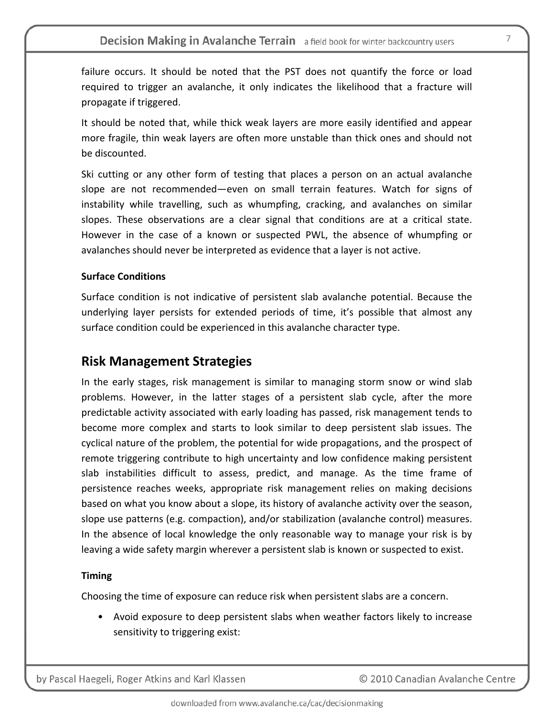failure occurs. It should be noted that the PST does not quantify the force or load required to trigger an avalanche, it only indicates the likelihood that a fracture will propagate if triggered.

It should be noted that, while thick weak layers are more easily identified and appear more fragile, thin weak layers are often more unstable than thick ones and should not be discounted.

Ski cutting or any other form of testing that places a person on an actual avalanche slope are not recommended—even on small terrain features. Watch for signs of instability while travelling, such as whumpfing, cracking, and avalanches on similar slopes. These observations are a clear signal that conditions are at a critical state. However in the case of a known or suspected PWL, the absence of whumpfing or avalanches should never be interpreted as evidence that a layer is not active.

### **Surface Conditions**

Surface condition is not indicative of persistent slab avalanche potential. Because the underlying layer persists for extended periods of time, it's possible that almost any surface condition could be experienced in this avalanche character type.

## **Risk Management Strategies**

In the early stages, risk management is similar to managing storm snow or wind slab problems. However, in the latter stages of a persistent slab cycle, after the more predictable activity associated with early loading has passed, risk management tends to become more complex and starts to look similar to deep persistent slab issues. The cyclical nature of the problem, the potential for wide propagations, and the prospect of remote triggering contribute to high uncertainty and low confidence making persistent slab instabilities difficult to assess, predict, and manage. As the time frame of persistence reaches weeks, appropriate risk management relies on making decisions based on what you know about a slope, its history of avalanche activity over the season, slope use patterns (e.g. compaction), and/or stabilization (avalanche control) measures. In the absence of local knowledge the only reasonable way to manage your risk is by leaving a wide safety margin wherever a persistent slab is known or suspected to exist.

### **Timing**

Choosing the time of exposure can reduce risk when persistent slabs are a concern.

• Avoid exposure to deep persistent slabs when weather factors likely to increase sensitivity to triggering exist: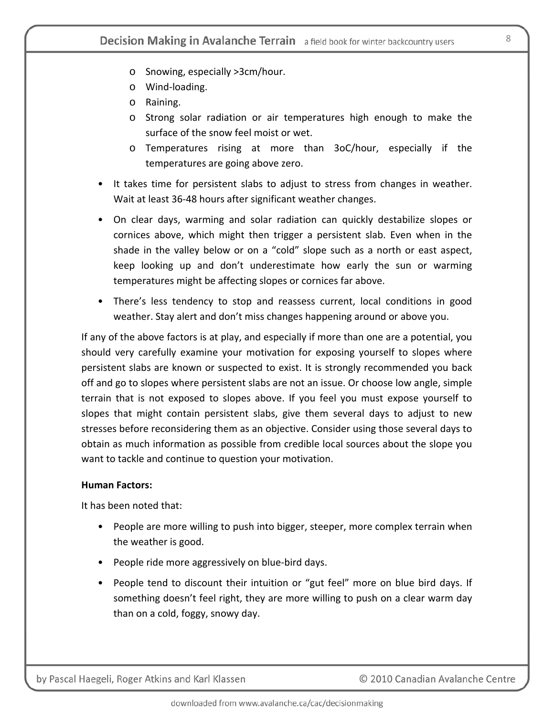- o Snowing, especially >3cm/hour.
- o Wind‐loading.
- o Raining.
- o Strong solar radiation or air temperatures high enough to make the surface of the snow feel moist or wet.
- o Temperatures rising at more than 3oC/hour, especially if the temperatures are going above zero.
- It takes time for persistent slabs to adjust to stress from changes in weather. Wait at least 36‐48 hours after significant weather changes.
- On clear days, warming and solar radiation can quickly destabilize slopes or cornices above, which might then trigger a persistent slab. Even when in the shade in the valley below or on a "cold" slope such as a north or east aspect, keep looking up and don't underestimate how early the sun or warming temperatures might be affecting slopes or cornices far above.
- There's less tendency to stop and reassess current, local conditions in good weather. Stay alert and don't miss changes happening around or above you.

If any of the above factors is at play, and especially if more than one are a potential, you should very carefully examine your motivation for exposing yourself to slopes where persistent slabs are known or suspected to exist. It is strongly recommended you back off and go to slopes where persistent slabs are not an issue. Or choose low angle, simple terrain that is not exposed to slopes above. If you feel you must expose yourself to slopes that might contain persistent slabs, give them several days to adjust to new stresses before reconsidering them as an objective. Consider using those several days to obtain as much information as possible from credible local sources about the slope you want to tackle and continue to question your motivation.

### **Human Factors:**

It has been noted that:

- People are more willing to push into bigger, steeper, more complex terrain when the weather is good.
- People ride more aggressively on blue‐bird days.
- People tend to discount their intuition or "gut feel" more on blue bird days. If something doesn't feel right, they are more willing to push on a clear warm day than on a cold, foggy, snowy day.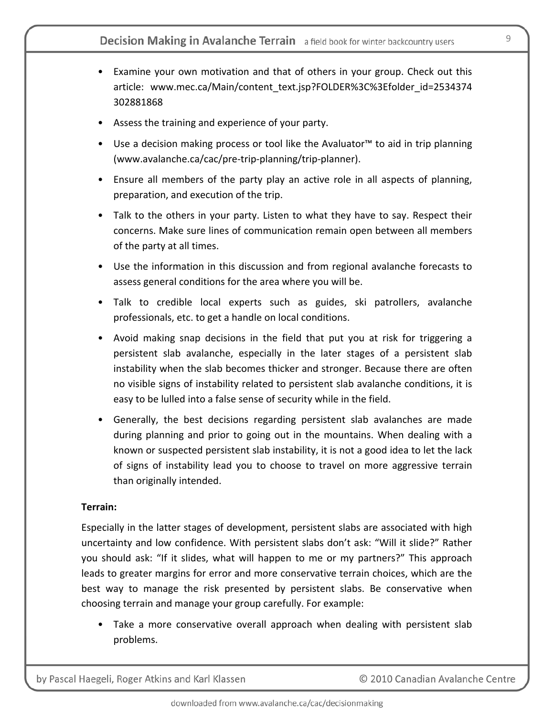- Examine your own motivation and that of others in your group. Check out this article: www.mec.ca/Main/content\_text.jsp?FOLDER%3C%3Efolder\_id=2534374 302881868
- Assess the training and experience of your party.
- Use a decision making process or tool like the Avaluator™ to aid in trip planning (www.avalanche.ca/cac/pre‐trip‐planning/trip‐planner).
- Ensure all members of the party play an active role in all aspects of planning, preparation, and execution of the trip.
- Talk to the others in your party. Listen to what they have to say. Respect their concerns. Make sure lines of communication remain open between all members of the party at all times.
- Use the information in this discussion and from regional avalanche forecasts to assess general conditions for the area where you will be.
- Talk to credible local experts such as guides, ski patrollers, avalanche professionals, etc. to get a handle on local conditions.
- Avoid making snap decisions in the field that put you at risk for triggering a persistent slab avalanche, especially in the later stages of a persistent slab instability when the slab becomes thicker and stronger. Because there are often no visible signs of instability related to persistent slab avalanche conditions, it is easy to be lulled into a false sense of security while in the field.
- Generally, the best decisions regarding persistent slab avalanches are made during planning and prior to going out in the mountains. When dealing with a known or suspected persistent slab instability, it is not a good idea to let the lack of signs of instability lead you to choose to travel on more aggressive terrain than originally intended.

### **Terrain:**

Especially in the latter stages of development, persistent slabs are associated with high uncertainty and low confidence. With persistent slabs don't ask: "Will it slide?" Rather you should ask: "If it slides, what will happen to me or my partners?" This approach leads to greater margins for error and more conservative terrain choices, which are the best way to manage the risk presented by persistent slabs. Be conservative when choosing terrain and manage your group carefully. For example:

• Take a more conservative overall approach when dealing with persistent slab problems.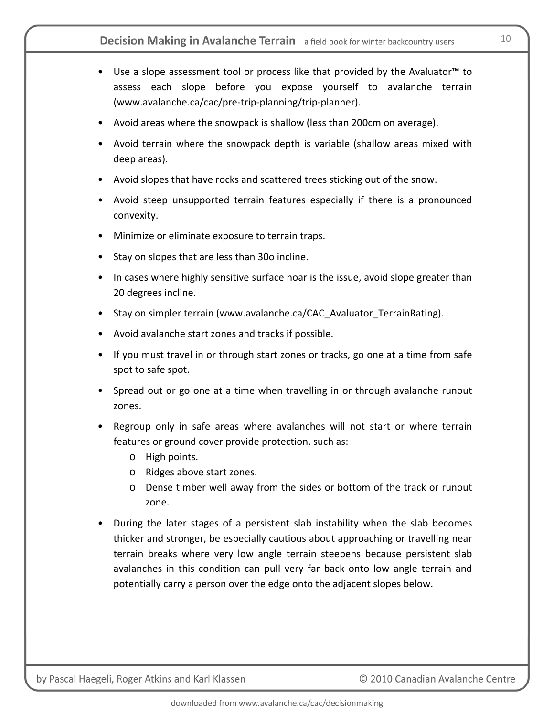- Use a slope assessment tool or process like that provided by the Avaluator™ to assess each slope before you expose yourself to avalanche terrain (www.avalanche.ca/cac/pre‐trip‐planning/trip‐planner).
- Avoid areas where the snowpack is shallow (less than 200cm on average).
- Avoid terrain where the snowpack depth is variable (shallow areas mixed with deep areas).
- Avoid slopes that have rocks and scattered trees sticking out of the snow.
- Avoid steep unsupported terrain features especially if there is a pronounced convexity.
- Minimize or eliminate exposure to terrain traps.
- Stay on slopes that are less than 30o incline.
- In cases where highly sensitive surface hoar is the issue, avoid slope greater than 20 degrees incline.
- Stay on simpler terrain (www.avalanche.ca/CAC Avaluator TerrainRating).
- Avoid avalanche start zones and tracks if possible.
- If you must travel in or through start zones or tracks, go one at a time from safe spot to safe spot.
- Spread out or go one at a time when travelling in or through avalanche runout zones.
- Regroup only in safe areas where avalanches will not start or where terrain features or ground cover provide protection, such as:
	- o High points.
	- o Ridges above start zones.
	- o Dense timber well away from the sides or bottom of the track or runout zone.
- During the later stages of a persistent slab instability when the slab becomes thicker and stronger, be especially cautious about approaching or travelling near terrain breaks where very low angle terrain steepens because persistent slab avalanches in this condition can pull very far back onto low angle terrain and potentially carry a person over the edge onto the adjacent slopes below.

© 2010 Canadian Avalanche Centre